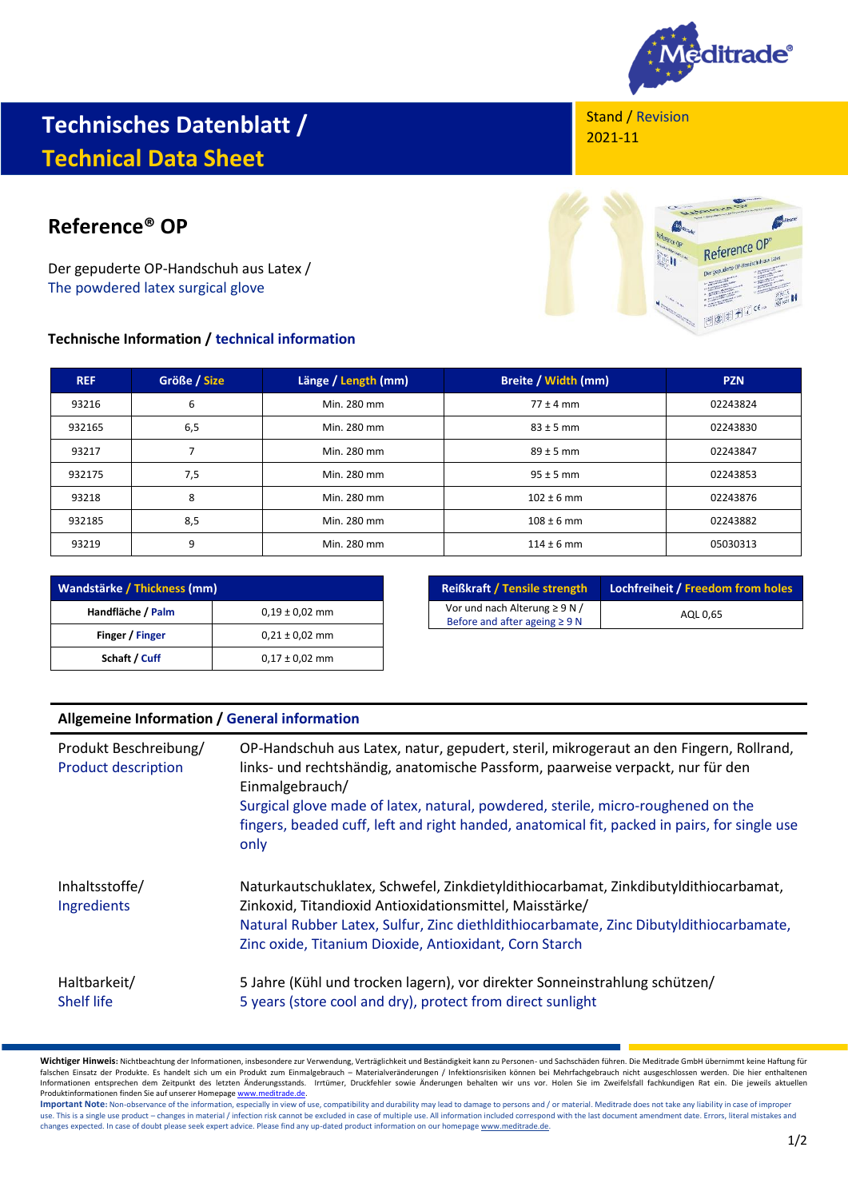

## **Technisches Datenblatt / Technical Data Sheet**

## **Reference® OP**

Der gepuderte OP-Handschuh aus Latex / The powdered latex surgical glove

## **Technische Information / technical information**

Stand / Revision 2021-11



| <b>REF</b> | Größe / Size | Länge / Length (mm) | Breite / Width (mm) | <b>PZN</b> |
|------------|--------------|---------------------|---------------------|------------|
| 93216      | 6            | Min. 280 mm         | $77 \pm 4$ mm       | 02243824   |
| 932165     | 6,5          | Min. 280 mm         | $83 \pm 5$ mm       | 02243830   |
| 93217      |              | Min. 280 mm         | $89 \pm 5$ mm       | 02243847   |
| 932175     | 7,5          | Min. 280 mm         | $95 \pm 5$ mm       | 02243853   |
| 93218      | 8            | Min. 280 mm         | $102 \pm 6$ mm      | 02243876   |
| 932185     | 8,5          | Min. 280 mm         | $108 \pm 6$ mm      | 02243882   |
| 93219      | 9            | Min. 280 mm         | $114 \pm 6$ mm      | 05030313   |

| Wandstärke / Thickness (mm) |                    |  |
|-----------------------------|--------------------|--|
| Handfläche / Palm           | $0.19 \pm 0.02$ mm |  |
| Finger / Finger             | $0.21 \pm 0.02$ mm |  |
| Schaft / Cuff               | $0,17 \pm 0,02$ mm |  |

| <b>Reißkraft / Tensile strength</b> | Lochfreiheit / Freedom from holes |  |
|-------------------------------------|-----------------------------------|--|
| Vor und nach Alterung $\geq 9$ N /  | AOL 0.65                          |  |
| Before and after ageing $\geq 9$ N  |                                   |  |

## **Allgemeine Information / General information**

| Produkt Beschreibung/<br><b>Product description</b> | OP-Handschuh aus Latex, natur, gepudert, steril, mikrogeraut an den Fingern, Rollrand,<br>links- und rechtshändig, anatomische Passform, paarweise verpackt, nur für den<br>Einmalgebrauch/<br>Surgical glove made of latex, natural, powdered, sterile, micro-roughened on the<br>fingers, beaded cuff, left and right handed, anatomical fit, packed in pairs, for single use<br>only |
|-----------------------------------------------------|-----------------------------------------------------------------------------------------------------------------------------------------------------------------------------------------------------------------------------------------------------------------------------------------------------------------------------------------------------------------------------------------|
| Inhaltsstoffe/<br>Ingredients                       | Naturkautschuklatex, Schwefel, Zinkdietyldithiocarbamat, Zinkdibutyldithiocarbamat,<br>Zinkoxid, Titandioxid Antioxidationsmittel, Maisstärke/<br>Natural Rubber Latex, Sulfur, Zinc diethldithiocarbamate, Zinc Dibutyldithiocarbamate,<br>Zinc oxide, Titanium Dioxide, Antioxidant, Corn Starch                                                                                      |
| Haltbarkeit/<br>Shelf life                          | 5 Jahre (Kühl und trocken lagern), vor direkter Sonneinstrahlung schützen/<br>5 years (store cool and dry), protect from direct sunlight                                                                                                                                                                                                                                                |

**Wichtiger Hinweis:** Nichtbeachtung der Informationen, insbesondere zur Verwendung, Verträglichkeit und Beständigkeit kann zu Personen- und Sachschäden führen. Die Meditrade GmbH übernimmt keine Haftung für falschen Einsatz der Produkte. Es handelt sich um ein Produkt zum Einmalgebrauch – Materialveränderungen / Infektionsrisiken können bei Mehrfachgebrauch nicht ausgeschlossen werden. Die hier enthaltenen Informationen entsprechen dem Zeitpunkt des letzten Änderungsstands. Irrtümer, Druckfehler sowie Änderungen behalten wir uns vor. Holen Sie im Zweifelsfall fachkundigen Rat ein. Die jeweils aktuellen

Produktinformationen finden Sie auf unserer Homepage <u>www.meditrade.de</u>.<br>**Important Note:** Non-observance of the information, especially in view of use, compatibility and durability may lead to damage to persons and / or m use. This is a single use product – changes in material / infection risk cannot be excluded in case of multiple use. All information included correspond with the last document amendment date. Errors, literal mistakes and changes expected. In case of doubt please seek expert advice. Please find any up-dated product information on our homepag[e www.meditrade.de.](http://www.meditrade.de/)